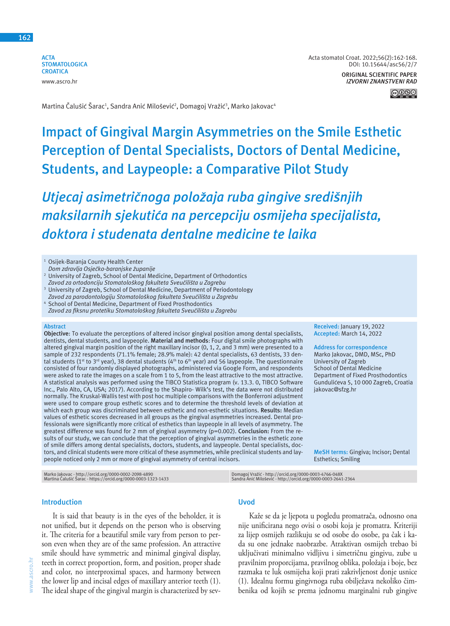**ACTA STOMATOLOGICA CROATICA** www.ascro.hr



Martina Čalušić Šarac<sup>1</sup>, Sandra Anić Milošević<sup>2</sup>, Domagoj Vražić<sup>3</sup>, Marko Jakovac<sup>4</sup>

# **Impact of Gingival Margin Asymmetries on the Smile Esthetic Perception of Dental Specialists, Doctors of Dental Medicine, Students, and Laypeople: a Comparative Pilot Study**

*Utjecaj asimetričnoga položaja ruba gingive središnjih maksilarnih sjekutića na percepciju osmijeha specijalista, doktora i studenata dentalne medicine te laika*

| <sup>1</sup> Osijek-Baranja County Health Center<br>Dom zdravlja Osječko-baranjske županije<br><sup>2</sup> University of Zagreb, School of Dental Medicine, Department of Orthodontics<br>Zavod za ortodonciju Stomatološkog fakulteta Sveučilišta u Zagrebu<br><sup>3</sup> University of Zagreb, School of Dental Medicine, Department of Periodontology<br>Zavod za parodontologiju Stomatološkog fakulteta Sveučilišta u Zagrebu<br><sup>4</sup> School of Dental Medicine, Department of Fixed Prosthodontics<br>Zavod za fiksnu protetiku Stomatološkog fakulteta Sveučilišta u Zagrebu                                                                                                                                                                                                                                                                                                                                                                                                                                                                                                                                                                                                                                                                                                                                                                                                                                                                                                                                                                                                                                                                                                                                                                                                                                                                                                                                                                                                                                                                                                 |                                                                                                                       |                                                                                                                                                                                                                                                                                                                                                                |
|------------------------------------------------------------------------------------------------------------------------------------------------------------------------------------------------------------------------------------------------------------------------------------------------------------------------------------------------------------------------------------------------------------------------------------------------------------------------------------------------------------------------------------------------------------------------------------------------------------------------------------------------------------------------------------------------------------------------------------------------------------------------------------------------------------------------------------------------------------------------------------------------------------------------------------------------------------------------------------------------------------------------------------------------------------------------------------------------------------------------------------------------------------------------------------------------------------------------------------------------------------------------------------------------------------------------------------------------------------------------------------------------------------------------------------------------------------------------------------------------------------------------------------------------------------------------------------------------------------------------------------------------------------------------------------------------------------------------------------------------------------------------------------------------------------------------------------------------------------------------------------------------------------------------------------------------------------------------------------------------------------------------------------------------------------------------------------------------|-----------------------------------------------------------------------------------------------------------------------|----------------------------------------------------------------------------------------------------------------------------------------------------------------------------------------------------------------------------------------------------------------------------------------------------------------------------------------------------------------|
| <b>Abstract</b><br>Objective: To evaluate the perceptions of altered incisor gingival position among dental specialists,<br>dentists, dental students, and laypeople. Material and methods: Four digital smile photographs with<br>altered gingival margin position of the right maxillary incisor (0, 1, 2, and 3 mm) were presented to a<br>sample of 232 respondents (71.1% female; 28.9% male): 42 dental specialists, 63 dentists, 33 den-<br>tal students (1 <sup>st</sup> to 3 <sup>rd</sup> year), 38 dental students (4 <sup>th</sup> to 6 <sup>th</sup> year) and 56 laypeople. The questionnaire<br>consisted of four randomly displayed photographs, administered via Google Form, and respondents<br>were asked to rate the images on a scale from 1 to 5, from the least attractive to the most attractive.<br>A statistical analysis was performed using the TIBCO Statistica program (v. 13.3. 0, TIBCO Software<br>Inc., Palo Alto, CA, USA; 2017). According to the Shapiro-Wilk's test, the data were not distributed<br>normally. The Kruskal-Wallis test with post hoc multiple comparisons with the Bonferroni adjustment<br>were used to compare group esthetic scores and to determine the threshold levels of deviation at<br>which each group was discriminated between esthetic and non-esthetic situations. Results: Median<br>values of esthetic scores decreased in all groups as the gingival asymmetries increased. Dental pro-<br>fessionals were significantly more critical of esthetics than laypeople in all levels of asymmetry. The<br>greatest difference was found for 2 mm of gingival asymmetry ( $p=0.002$ ). Conclusion: From the re-<br>sults of our study, we can conclude that the perception of gingival asymmetries in the esthetic zone<br>of smile differs among dental specialists, doctors, students, and laypeople. Dental specialists, doc-<br>tors, and clinical students were more critical of these asymmetries, while preclinical students and lay-<br>people noticed only 2 mm or more of gingival asymmetry of central incisors. |                                                                                                                       | Received: January 19, 2022<br>Accepted: March 14, 2022<br><b>Address for correspondence</b><br>Marko Jakovac, DMD, MSc, PhD<br>University of Zagreb<br><b>School of Dental Medicine</b><br>Department of Fixed Prosthodontics<br>Gundulićeva 5, 10 000 Zagreb, Croatia<br>jakovac@sfzg.hr<br>MeSH terms: Gingiva; Incisor; Dental<br><b>Esthetics: Smiling</b> |
| Marko Jakovac - http://orcid.org/0000-0002-2098-4890<br>Martina Čalušić Šarac - https://orcid.org/0000-0003-1323-1433                                                                                                                                                                                                                                                                                                                                                                                                                                                                                                                                                                                                                                                                                                                                                                                                                                                                                                                                                                                                                                                                                                                                                                                                                                                                                                                                                                                                                                                                                                                                                                                                                                                                                                                                                                                                                                                                                                                                                                          | Domagoj Vražić - http://orcid.org/0000-0003-4766-048X<br>Sandra Anić Milošević - http://orcid.org/0000-0003-2641-2364 |                                                                                                                                                                                                                                                                                                                                                                |

#### **Introduction**

www.ascro.hr

www.ascro.hr

It is said that beauty is in the eyes of the beholder, it is not unified, but it depends on the person who is observing it. The criteria for a beautiful smile vary from person to person even when they are of the same profession. An attractive smile should have symmetric and minimal gingival display, teeth in correct proportion, form, and position, proper shade and color, no interproximal spaces, and harmony between the lower lip and incisal edges of maxillary anterior teeth (1). The ideal shape of the gingival margin is characterized by sev-

#### **Uvod**

Kaže se da je ljepota u pogledu promatrača, odnosno ona nije unificirana nego ovisi o osobi koja je promatra. Kriteriji za lijep osmijeh razlikuju se od osobe do osobe, pa čak i kada su one jednake naobrazbe. Atraktivan osmijeh trebao bi uključivati minimalno vidljivu i simetričnu gingivu, zube u pravilnim proporcijama, pravilnog oblika, položaja i boje, bez razmaka te luk osmijeha koji prati zakrivljenost donje usnice (1). Idealnu formu gingivnoga ruba obilježava nekoliko čimbenika od kojih se prema jednomu marginalni rub gingive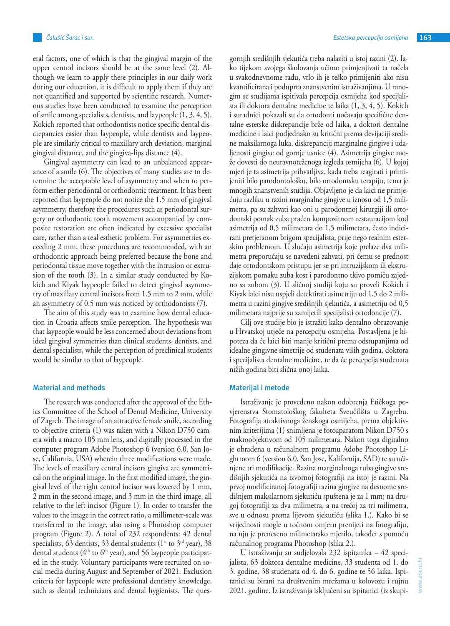eral factors, one of which is that the gingival margin of the upper central incisors should be at the same level (2). Although we learn to apply these principles in our daily work during our education, it is difficult to apply them if they are not quantified and supported by scientific research. Numerous studies have been conducted to examine the perception of smile among specialists, dentists, and laypeople (1, 3, 4, 5). Kokich reported that orthodontists notice specific dental discrepancies easier than laypeople, while dentists and laypeople are similarly critical to maxillary arch deviation, marginal gingival distance, and the gingiva-lips distance (4).

Gingival asymmetry can lead to an unbalanced appearance of a smile (6). The objectives of many studies are to determine the acceptable level of asymmetry and when to perform either periodontal or orthodontic treatment. It has been reported that laypeople do not notice the 1.5 mm of gingival asymmetry, therefore the procedures such as periodontal surgery or orthodontic tooth movement accompanied by composite restoration are often indicated by excessive specialist care, rather than a real esthetic problem. For asymmetries exceeding 2 mm, these procedures are recommended, with an orthodontic approach being preferred because the bone and periodontal tissue move together with the intrusion or extrusion of the tooth (3). In a similar study conducted by Kokich and Kiyak laypeople failed to detect gingival asymmetry of maxillary central incisors from 1.5 mm to 2 mm, while an asymmetry of 0.5 mm was noticed by orthodontists (7).

The aim of this study was to examine how dental education in Croatia affects smile perception. The hypothesis was that laypeople would be less concerned about deviations from ideal gingival symmetries than clinical students, dentists, and dental specialists, while the perception of preclinical students would be similar to that of laypeople.

#### **Material and methods**

The research was conducted after the approval of the Ethics Committee of the School of Dental Medicine, University of Zagreb. The image of an attractive female smile, according to objective criteria (1) was taken with a Nikon D750 camera with a macro 105 mm lens, and digitally processed in the computer program Adobe Photoshop 6 (version 6.0, San Jose, California, USA) wherein three modifications were made. The levels of maxillary central incisors gingiva are symmetrical on the original image. In the first modified image, the gingival level of the right central incisor was lowered by 1 mm, 2 mm in the second image, and 3 mm in the third image, all relative to the left incisor (Figure 1). In order to transfer the values to the image in the correct ratio, a millimeter-scale was transferred to the image, also using a Photoshop computer program (Figure 2). A total of 232 respondents: 42 dental specialists, 63 dentists, 33 dental students ( $1<sup>st</sup>$  to  $3<sup>rd</sup>$  year), 38 dental students ( $4<sup>th</sup>$  to  $6<sup>th</sup>$  year), and 56 laypeople participated in the study. Voluntary participants were recruited on social media during August and September of 2021. Exclusion criteria for laypeople were professional dentistry knowledge, such as dental technicians and dental hygienists. The quesgornjih središnjih sjekutića treba nalaziti u istoj razini (2). Iako tijekom svojega školovanja učimo primjenjivati ta načela u svakodnevnome radu, vrlo ih je teško primijeniti ako nisu kvantificirana i poduprta znanstvenim istraživanjima. U mnogim se studijama ispitivala percepcija osmijeha kod specijalista ili doktora dentalne medicine te laika (1, 3, 4, 5). Kokich i suradnici pokazali su da ortodonti uočavaju specifične dentalne estetske diskrepancije brže od laika, a doktori dentalne medicine i laici podjednako su kritični prema devijaciji sredine maksilarnoga luka, diskrepanciji marginalne gingive i udaljenosti gingive od gornje usnice (4). Asimetrija gingive može dovesti do neuravnoteženoga izgleda osmijeha (6). U kojoj mjeri je ta asimetrija prihvatljiva, kada treba reagirati i primijeniti bilo parodontološku, bilo ortodontsku terapiju, tema je mnogih znanstvenih studija. Objavljeno je da laici ne primjećuju razliku u razini marginalne gingive u iznosu od 1,5 milimetra, pa su zahvati kao oni u parodontnoj kirurgiji ili ortodontski pomak zuba praćen kompozitnom restauracijom kod asimetrija od 0,5 milimetara do 1,5 milimetara, često indicirani pretjeranom brigom specijalista, prije nego realnim estetskim problemom. U slučaju asimetrija koje prelaze dva milimetra preporučaju se navedeni zahvati, pri čemu se prednost daje ortodontskom pristupu jer se pri intruzijskom ili ekstruzijskom pomaku zuba kost i parodontno tkivo pomiču zajedno sa zubom (3). U sličnoj studiji koju su proveli Kokich i Kiyak laici nisu uspjeli detektirati asimetriju od 1,5 do 2 milimetra u razini gingive središnjih sjekutića, a asimetriju od 0,5 milimetara najprije su zamijetili specijalisti ortodoncije (7).

Cilj ove studije bio je istražiti kako dentalno obrazovanje u Hrvatskoj utječe na percepciju osmijeha. Postavljena je hipoteza da će laici biti manje kritični prema odstupanjima od idealne gingivne simetrije od studenata viših godina, doktora i specijalista dentalne medicine, te da će percepcija studenata nižih godina biti slična onoj laika.

#### **Materijal i metode**

Istraživanje je provedeno nakon odobrenja Etičkoga povjerenstva Stomatološkog fakulteta Sveučilišta u Zagrebu. Fotografija atraktivnoga ženskoga osmijeha, prema objektivnim kriterijima (1) snimljena je fotoaparatom Nikon D750 s makroobjektivom od 105 milimetara. Nakon toga digitalno je obrađena u računalnom programu Adobe Photoshop Lightroom 6 (version 6.0, San Jose, Kalifornija, SAD) te su učinjene tri modifikacije. Razina marginalnoga ruba gingive središnjih sjekutića na izvornoj fotografiji na istoj je razini. Na prvoj modificiranoj fotografiji razina gingive na desnome središnjem maksilarnom sjekutiću spuštena je za 1 mm; na drugoj fotografiji za dva milimetra, a na trećoj za tri milimetra, sve u odnosu prema lijevom sjekutiću (slika 1.). Kako bi se vrijednosti mogle u točnom omjeru prenijeti na fotografiju, na nju je preneseno milimetarsko mjerilo, također s pomoću računalnog programa Photoshop (slika 2.).

U istraživanju su sudjelovala 232 ispitanika – 42 specijalista, 63 doktora dentalne medicine, 33 studenta od 1. do 3. godine, 38 studenata od 4. do 6. godine te 56 laika. Ispitanici su birani na društvenim mrežama u kolovozu i rujnu 2021. godine. Iz istraživanja isključeni su ispitanici (iz skupi-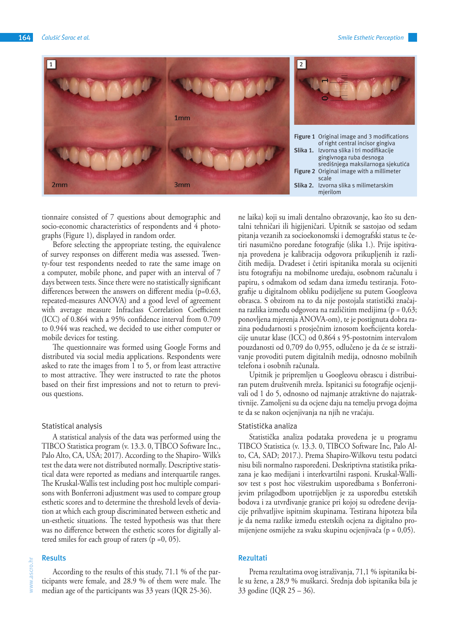

tionnaire consisted of 7 questions about demographic and socio-economic characteristics of respondents and 4 photographs (Figure 1), displayed in random order.

Before selecting the appropriate testing, the equivalence of survey responses on different media was assessed. Twenty-four test respondents needed to rate the same image on a computer, mobile phone, and paper with an interval of 7 days between tests. Since there were no statistically significant differences between the answers on different media (p=0.63, repeated-measures ANOVA) and a good level of agreement with average measure Infraclass Correlation Coefficient (ICC) of 0.864 with a 95% confidence interval from 0.709 to 0.944 was reached, we decided to use either computer or mobile devices for testing.

The questionnaire was formed using Google Forms and distributed via social media applications. Respondents were asked to rate the images from 1 to 5, or from least attractive to most attractive. They were instructed to rate the photos based on their first impressions and not to return to previous questions.

#### Statistical analysis

A statistical analysis of the data was performed using the TIBCO Statistica program (v. 13.3. 0, TIBCO Software Inc., Palo Alto, CA, USA; 2017). According to the Shapiro- Wilk's test the data were not distributed normally. Descriptive statistical data were reported as medians and interquartile ranges. The Kruskal-Wallis test including post hoc multiple comparisons with Bonferroni adjustment was used to compare group esthetic scores and to determine the threshold levels of deviation at which each group discriminated between esthetic and un-esthetic situations. The tested hypothesis was that there was no difference between the esthetic scores for digitally altered smiles for each group of raters  $(p = 0, 05)$ .

### **Results**

According to the results of this study, 71.1 % of the participants were female, and 28.9 % of them were male. The median age of the participants was 33 years (IQR 25-36).

ne laika) koji su imali dentalno obrazovanje, kao što su dentalni tehničari ili higijeničari. Upitnik se sastojao od sedam pitanja vezanih za socioekonomski i demografski status te četiri nasumično poredane fotografije (slika 1.). Prije ispitivanja provedena je kalibracija odgovora prikupljenih iz različitih medija. Dvadeset i četiri ispitanika morala su ocijeniti istu fotografiju na mobilnome uređaju, osobnom računalu i papiru, s odmakom od sedam dana između testiranja. Fotografije u digitalnom obliku podijeljene su putem Googleova obrasca. S obzirom na to da nije postojala statistički značajna razlika između odgovora na različitim medijima ( $p = 0.63$ ; ponovljena mjerenja ANOVA-om), te je postignuta dobra razina podudarnosti s prosječnim iznosom koeficijenta korelacije unutar klase (ICC) od 0,864 s 95-postotnim intervalom pouzdanosti od 0,709 do 0,955, odlučeno je da će se istraživanje provoditi putem digitalnih medija, odnosno mobilnih telefona i osobnih računala.

Upitnik je pripremljen u Googleovu obrascu i distribuiran putem društvenih mreža. Ispitanici su fotografije ocjenjivali od 1 do 5, odnosno od najmanje atraktivne do najatraktivnije. Zamoljeni su da ocjene daju na temelju prvoga dojma te da se nakon ocjenjivanja na njih ne vraćaju.

#### Statistička analiza

Statistička analiza podataka provedena je u programu TIBCO Statistica (v. 13.3. 0, TIBCO Software Inc, Palo Alto, CA, SAD; 2017.). Prema Shapiro-Wilkovu testu podatci nisu bili normalno raspoređeni. Deskriptivna statistika prikazana je kao medijani i interkvartilni rasponi. Kruskal-Wallisov test s post hoc višestrukim usporedbama s Bonferronijevim prilagodbom upotrijebljen je za usporedbu estetskih bodova i za utvrđivanje granice pri kojoj su određene devijacije prihvatljive ispitnim skupinama. Testirana hipoteza bila je da nema razlike između estetskih ocjena za digitalno promijenjene osmijehe za svaku skupinu ocjenjivača (p = 0,05).

## **Rezultati**

Prema rezultatima ovog istraživanja, 71,1 % ispitanika bile su žene, a 28,9 % muškarci. Srednja dob ispitanika bila je 33 godine (IQR 25 – 36).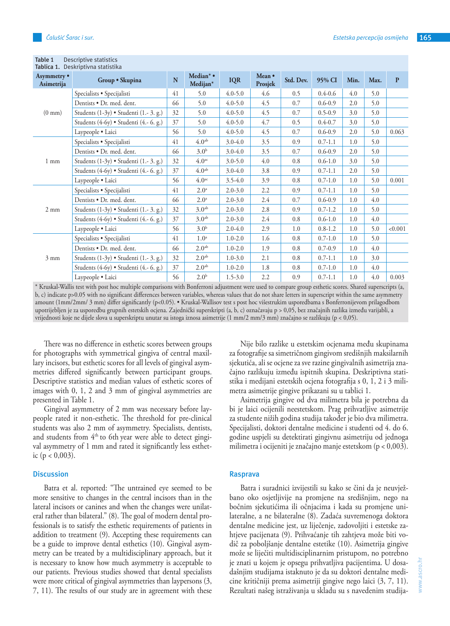| Tablica 1. Deskriptivna statistika |                                        |    |                       |             |                   |           |             |      |      |              |  |
|------------------------------------|----------------------------------------|----|-----------------------|-------------|-------------------|-----------|-------------|------|------|--------------|--|
| Asymmetry •<br>Asimetrija          | Group . Skupina                        | N  | Median* •<br>Medijan* | <b>IQR</b>  | Mean •<br>Prosjek | Std. Dev. | 95% CI      | Min. | Max. | $\mathbf{P}$ |  |
| $(0 \text{ mm})$                   | Specialists · Specijalisti             | 41 | 5.0                   | $4.0 - 5.0$ | 4.6               | 0.5       | $0.4 - 0.6$ | 4.0  | 5.0  |              |  |
|                                    | Dentists . Dr. med. dent.              | 66 | 5.0                   | $4.0 - 5.0$ | 4.5               | 0.7       | $0.6 - 0.9$ | 2.0  | 5.0  |              |  |
|                                    | Students (1-3y) • Studenti (1.-3. g.)  | 32 | 5.0                   | $4.0 - 5.0$ | 4.5               | 0.7       | $0.5 - 0.9$ | 3.0  | 5.0  |              |  |
|                                    | Students (4-6y) · Studenti (4.- 6. g.) | 37 | 5.0                   | $4.0 - 5.0$ | 4.7               | 0.5       | $0.4 - 0.7$ | 3.0  | 5.0  |              |  |
|                                    | Laypeople . Laici                      | 56 | 5.0                   | $4.0 - 5.0$ | 4.5               | 0.7       | $0.6 - 0.9$ | 2.0  | 5.0  | 0.063        |  |
| $1$ mm                             | Specialists · Specijalisti             | 41 | 4.0 <sup>ab</sup>     | $3.0 - 4.0$ | 3.5               | 0.9       | $0.7 - 1.1$ | 1.0  | 5.0  |              |  |
|                                    | Dentists . Dr. med. dent.              | 66 | 3.0 <sup>b</sup>      | $3.0 - 4.0$ | 3.5               | 0.7       | $0.6 - 0.9$ | 2.0  | 5.0  |              |  |
|                                    | Students (1-3y) • Studenti (1.-3. g.)  | 32 | 4.0 <sup>ac</sup>     | $3.0 - 5.0$ | 4.0               | 0.8       | $0.6 - 1.0$ | 3.0  | 5.0  |              |  |
|                                    | Students (4-6y) • Studenti (4.- 6. g.) | 37 | 4.0 <sup>ab</sup>     | $3.0 - 4.0$ | 3.8               | 0.9       | $0.7 - 1.1$ | 2.0  | 5.0  |              |  |
|                                    | Laypeople . Laici                      | 56 | 4.0 <sup>ac</sup>     | $3.5 - 4.0$ | 3.9               | 0.8       | $0.7 - 1.0$ | 1.0  | 5.0  | 0.001        |  |
| $2 \text{ mm}$                     | Specialists · Specijalisti             | 41 | 2.0 <sup>a</sup>      | $2.0 - 3.0$ | 2.2               | 0.9       | $0.7 - 1.1$ | 1.0  | 5.0  |              |  |
|                                    | Dentists . Dr. med. dent.              | 66 | 2.0 <sup>a</sup>      | $2.0 - 3.0$ | 2.4               | 0.7       | $0.6 - 0.9$ | 1.0  | 4.0  |              |  |
|                                    | Students (1-3y) • Studenti (1.-3. g.)  | 32 | 3.0 <sup>ab</sup>     | $2.0 - 3.0$ | 2.8               | 0.9       | $0.7 - 1.2$ | 1.0  | 5.0  |              |  |
|                                    | Students (4-6y) • Studenti (4.- 6. g.) | 37 | 3.0 <sup>ab</sup>     | $2.0 - 3.0$ | 2.4               | 0.8       | $0.6 - 1.0$ | 1.0  | 4.0  |              |  |
|                                    | Laypeople · Laici                      | 56 | 3.0 <sup>b</sup>      | $2.0 - 4.0$ | 2.9               | 1.0       | $0.8 - 1.2$ | 1.0  | 5.0  | < 0.001      |  |
| $3~\mathrm{mm}$                    | Specialists · Specijalisti             | 41 | 1.0 <sup>a</sup>      | $1.0 - 2.0$ | 1.6               | 0.8       | $0.7 - 1.0$ | 1.0  | 5.0  |              |  |
|                                    | Dentists . Dr. med. dent.              | 66 | 2.0 <sup>ab</sup>     | $1.0 - 2.0$ | 1.9               | 0.8       | $0.7 - 0.9$ | 1.0  | 4.0  |              |  |
|                                    | Students (1-3y) • Studenti (1.- 3. g.) | 32 | 2.0 <sup>ab</sup>     | $1.0 - 3.0$ | 2.1               | 0.8       | $0.7 - 1.1$ | 1.0  | 3.0  |              |  |
|                                    | Students (4-6y) • Studenti (4.- 6. g.) | 37 | 2.0 <sup>ab</sup>     | $1.0 - 2.0$ | 1.8               | 0.8       | $0.7 - 1.0$ | 1.0  | 4.0  |              |  |
|                                    | Laypeople • Laici                      | 56 | 2.0 <sup>b</sup>      | $1.5 - 3.0$ | 2.2               | 0.9       | $0.7 - 1.1$ | 1.0  | 4.0  | 0.003        |  |

## **Table 1** Descriptive statistics

\* Kruskal-Wallis test with post hoc multiple comparisons with Bonferroni adjustment were used to compare group esthetic scores. Shared superscripts (a, b, c) indicate p>0.05 with no significant differences between variables, whereas values that do not share letters in superscript within the same asymmetry amount (1mm/2mm/ 3 mm) differ significantly (p<0.05). • Kruskal-Wallisov test s post hoc višestrukim usporedbama s Bonferronijevom prilagodbom upotrijebljen je za usporedbu grupnih estetskih ocjena. Zajednički superskripti (a, b, c) označavaju p > 0,05, bez značajnih razlika između varijabli, a vrijednosti koje ne dijele slova u superskriptu unutar su istoga iznosa asimetrije (1 mm/2 mm/3 mm) značajno se razlikuju (p < 0,05).

There was no difference in esthetic scores between groups for photographs with symmetrical gingiva of central maxillary incisors, but esthetic scores for all levels of gingival asymmetries differed significantly between participant groups. Descriptive statistics and median values of esthetic scores of images with 0, 1, 2 and 3 mm of gingival asymmetries are presented in Table 1.

Gingival asymmetry of 2 mm was necessary before laypeople rated it non-esthetic. The threshold for pre-clinical students was also 2 mm of asymmetry. Specialists, dentists, and students from  $4<sup>th</sup>$  to 6th year were able to detect gingival asymmetry of 1 mm and rated it significantly less esthetic ( $p < 0.003$ ).

## **Discussion**

Batra et al. reported: "The untrained eye seemed to be more sensitive to changes in the central incisors than in the lateral incisors or canines and when the changes were unilateral rather than bilateral." (8). The goal of modern dental professionals is to satisfy the esthetic requirements of patients in addition to treatment (9). Accepting these requirements can be a guide to improve dental esthetics (10). Gingival asymmetry can be treated by a multidisciplinary approach, but it is necessary to know how much asymmetry is acceptable to our patients. Previous studies showed that dental specialists were more critical of gingival asymmetries than laypersons (3, 7, 11). The results of our study are in agreement with these

Nije bilo razlike u estetskim ocjenama među skupinama za fotografije sa simetričnom gingivom središnjih maksilarnih sjekutića, ali se ocjene za sve razine gingivalnih asimetrija značajno razlikuju između ispitnih skupina. Deskriptivna statistika i medijani estetskih ocjena fotografija s 0, 1, 2 i 3 milimetra asimetrije gingive prikazani su u tablici 1.

Asimetrija gingive od dva milimetra bila je potrebna da bi je laici ocijenili neestetskom. Prag prihvatljive asimetrije za studente nižih godina studija također je bio dva milimetra. Specijalisti, doktori dentalne medicine i studenti od 4. do 6. godine uspjeli su detektirati gingivnu asimetriju od jednoga milimetra i ocijeniti je značajno manje estetskom (p < 0,003).

## **Rasprava**

Batra i suradnici izvijestili su kako se čini da je neuvježbano oko osjetljivije na promjene na središnjim, nego na bočnim sjekutićima ili očnjacima i kada su promjene unilateralne, a ne bilateralne (8). Zadaća suvremenoga doktora dentalne medicine jest, uz liječenje, zadovoljiti i estetske zahtjeve pacijenata (9). Prihvaćanje tih zahtjeva može biti vodič za poboljšanje dentalne estetike (10). Asimetrija gingive može se liječiti multidisciplinarnim pristupom, no potrebno je znati u kojem je opsegu prihvatljiva pacijentima. U dosadašnjim studijama istaknuto je da su doktori dentalne medicine kritičniji prema asimetriji gingive nego laici (3, 7, 11). Rezultati našeg istraživanja u skladu su s navedenim studija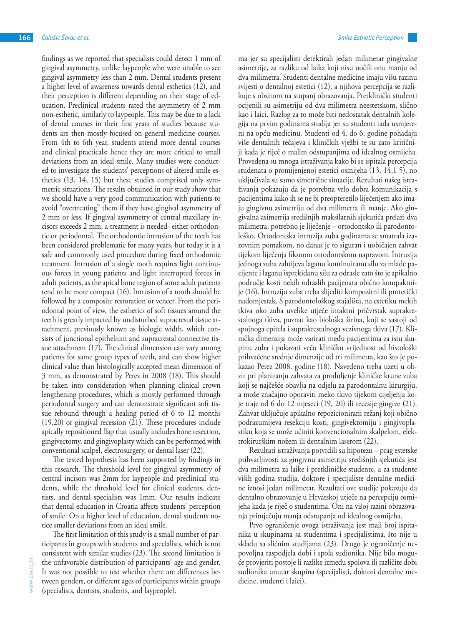findings as we reported that specialists could detect 1 mm of gingival asymmetry, unlike laypeople who were unable to see gingival asymmetry less than 2 mm. Dental students present a higher level of awareness towards dental esthetics (12), and their perception is different depending on their stage of education. Preclinical students rated the asymmetry of 2 mm non-esthetic, similarly to laypeople. This may be due to a lack of dental courses in their first years of studies because students are then mostly focused on general medicine courses. From 4th to 6th year, students attend more dental courses and clinical practicals; hence they are more critical to small deviations from an ideal smile. Many studies were conducted to investigate the students' perceptions of altered smile esthetics (13, 14, 15) but these studies comprised only symmetric situations. The results obtained in our study show that we should have a very good communication with patients to avoid "overtreating" them if they have gingival asymmetry of 2 mm or less. If gingival asymmetry of central maxillary incisors exceeds 2 mm, a treatment is needed- either orthodontic or periodontal. The orthodontic intrusion of the teeth has been considered problematic for many years, but today it is a safe and commonly used procedure during fixed orthodontic treatment. Intrusion of a single tooth requires light continuous forces in young patients and light interrupted forces in adult patients, as the apical bone region of some adult patients tend to be more compact (16). Intrusion of a tooth should be followed by a composite restoration or veneer. From the periodontal point of view, the esthetics of soft tissues around the teeth is greatly impacted by undisturbed supracrestal tissue attachment, previously known as biologic width, which consists of junctional epithelium and supracrestal connective tissue attachment (17). The clinical dimension can vary among patients for same group types of teeth, and can show higher clinical value than histologically accepted mean dimension of 3 mm, as demonstrated by Perez in 2008 (18). This should be taken into consideration when planning clinical crown lengthening procedures, which is mostly performed through periodontal surgery and can demonstrate significant soft tissue rebound through a healing period of 6 to 12 months (19,20) or gingival recession (21). These procedures include apically repositioned flap that usually includes bone resection, gingivectomy, and gingivoplasty which can be performed with conventional scalpel, electrosurgery, or dental laser (22).

The tested hypothesis has been supported by findings in this research. The threshold level for gingival asymmetry of central incisors was 2mm for laypeople and preclinical students, while the threshold level for clinical students, dentists, and dental specialists was 1mm. Our results indicate that dental education in Croatia affects students' perception of smile. On a higher level of education, dental students notice smaller deviations from an ideal smile.

The first limitation of this study is a small number of participants in groups with students and specialists, which is not consistent with similar studies (23). The second limitation is the unfavorable distribution of participants' age and gender. It was not possible to test whether there are differences between genders, or different ages of participants within groups (specialists, dentists, students, and laypeople).

ma jer su specijalisti detektirali jedan milimetar gingivalne asimetrije, za razliku od laika koji nisu uočili onu manju od dva milimetra. Studenti dentalne medicine imaju višu razinu svijesti o dentalnoj estetici (12), a njihova percepcija se razlikuje s obzirom na stupanj obrazovanja. Pretklinički studenti ocijenili su asimetriju od dva milimetra neestetskom, slično kao i laici. Razlog za to može biti nedostatak dentalnih kolegija na prvim godinama studija jer su studenti tada usmjereni na opću medicinu. Studenti od 4. do 6. godine pohađaju više dentalnih tečajeva i kliničkih vježbi te su zato kritičniji kada je riječ o malim odstupanjima od idealnog osmijeha. Provedena su mnoga istraživanja kako bi se ispitala percepcija studenata o promijenjenoj estetici osmijeha (13, 14,1 5), no uključivala su samo simetrične situacije. Rezultati našeg istraživanja pokazuju da je potrebna vrlo dobra komunikacija s pacijentima kako ih se ne bi preopteretilo liječenjem ako imaju gingivnu asimetriju od dva milimetra ili manje. Ako gingivalna asimetrija središnjih maksilarnih sjekutića prelazi dva milimetra, potrebno je liječenje – ortodontsko ili parodontološko. Ortodontska intruzija zuba godinama se smatrala izazovnim pomakom, no danas je to siguran i uobičajen zahvat tijekom liječenja fiksnom ortodontskom napravom. Intruzija jednoga zuba zahtijeva laganu kontinuiranu silu za mlade pacijente i laganu isprekidanu silu za odrasle zato što je apikalno područje kosti nekih odraslih pacijenata obično kompaktnije (16). Intruziju zuba treba slijediti kompozitni ili protetički nadomjestak. S parodontološkog stajališta, na estetiku mekih tkiva oko zuba uvelike utječe intaktni pričvrstak suprakrestalnoga tkiva, poznat kao biološka širina, koji se sastoji od spojnoga epitela i suprakrestalnoga vezivnoga tkiva (17). Klinička dimenzija može varirati među pacijentima za istu skupinu zuba i pokazati veću kliničku vrijednost od histološki prihvaćene srednje dimenzije od tri milimetra, kao što je pokazao Perez 2008. godine (18). Navedeno treba uzeti u obzir pri planiranju zahvata za produljenje kliničke krune zuba koji se najčešće obavlja na odjelu za parodontalnu kirurgiju, a može značajno oporaviti meko tkivo tijekom cijeljenja koje traje od 6 do 12 mjeseci (19, 20) ili recesije gingive (21). Zahvat uključuje apikalno repozicionirani režanj koji obično podrazumijeva resekciju kosti, gingivektomiju i gingivoplastiku koja se može učiniti konvencionalnim skalpelom, elektrokirurškim nožem ili dentalnim laserom (22).

Rezultati istraživanja potvrdili su hipotezu – prag estetske prihvatljivosti za gingivnu asimetriju središnjih sjekutića jest dva milimetra za laike i pretkliničke studente, a za studente viših godina studija, doktore i specijaliste dentalne medicine iznosi jedan milimetar. Rezultati ove studije pokazuju da dentalno obrazovanje u Hrvatskoj utječe na percepciju osmijeha kada je riječ o studentima. Oni na višoj razini obrazovanja primjećuju manja odstupanja od idealnog osmijeha.

Prvo ograničenje ovoga istraživanja jest mali broj ispitanika u skupinama sa studentima i specijalistima, što nije u skladu sa sličnim studijama (23). Drugo je ograničenje nepovoljna raspodjela dobi i spola sudionika. Nije bilo moguće provjeriti postoje li razlike između spolova ili različite dobi sudionika unutar skupina (specijalisti, doktori dentalne medicine, studenti i laici).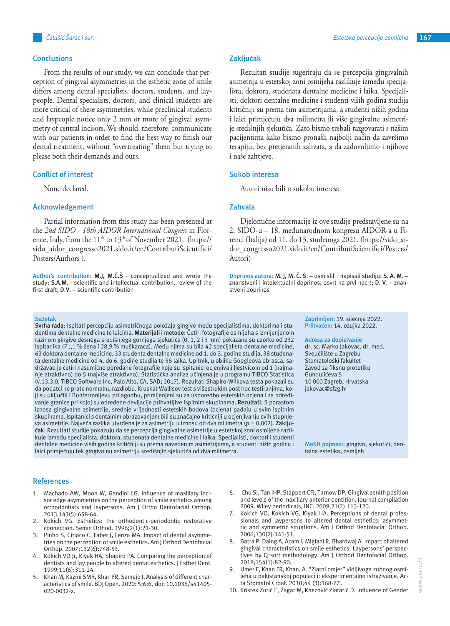## **Conclusions**

From the results of our study, we can conclude that perception of gingival asymmetries in the esthetic zone of smile differs among dental specialists, doctors, students, and laypeople. Dental specialists, doctors, and clinical students are more critical of these asymmetries, while preclinical students and laypeople notice only 2 mm or more of gingival asymmetry of central incisors. We should, therefore, communicate with our patients in order to find the best way to finish our dental treatment, without "overtreating" them but trying to please both their demands and ours.

## **Conflict of interest**

None declared.

#### **Acknowledgement**

Partial information from this study has been presented at the *2nd SIDO - 18th AIDOR International Congress* in Florence, Italy, from the  $11<sup>th</sup>$  to  $13<sup>th</sup>$  of November 2021. (https:// sido\_aidor\_congresso2021.sido.it/en/ContributiScientifici/ Posters/Authors ).

**Author's contribution: M.J, M.Č.Š** - conceptualized and wrote the study; **S.A.M**. - scientific and intellectual contribution, review of the first draft; **D.V**. – scientific contribution

#### **Sažetak**

**Svrha rada**: Ispitati percepciju asimetričnoga položaja gingive među specijalistima, doktorima i studentima dentalne medicine te laicima. **Materijali i metode**: Četiri fotografije osmijeha s izmijenjenom razinom gingive desnoga središnjega gornjega sjekutića (0, 1, 2 i 3 mm) pokazane su uzorku od 232 ispitanika (71,1 % žena i 28,9 % muškaraca). Među njima su bila 42 specijalista dentalne medicine, 63 doktora dentalne medicine, 33 studenta dentalne medicine od 1. do 3. godine studija, 38 studenata dentalne medicine od 4. do 6. godine studija te 56 laika. Upitnik, u obliku Googleova obrasca, sadržavao je četiri nasumično poredane fotografije koje su ispitanici ocjenjivali ljestvicom od 1 (najmanje atraktivno) do 5 (najviše atraktivno). Statistička analiza učinjena je u programu TIBCO Statistica (v.13.3.0, TIBCO Software Inc, Palo Alto, CA, SAD; 2017). Rezultati Shapiro-Wilkova testa pokazali su da podatci ne prate normalnu razdiobu. Kruskal-Wallisov test s višestrukim post hoc testiranjima, koji su uključili i Bonferronijevu prilagodbu, primijenjeni su za usporedbu estetskih ocjena i za određivanje granice pri kojoj su određene devijacije prihvatljive ispitnim skupinama. **Rezultati**: S porastom iznosa gingivalne asimetrije, srednje vrijednosti estetskih bodova (ocjena) padaju u svim ispitnim skupinama. Ispitanici s dentalnim obrazovanjem bili su značajno kritičniji u ocjenjivanju svih stupnjeva asimetrije. Najveća razlika utvrđena je za asimetriju u iznosu od dva milimetra (p = 0,002). **Zaključak**: Rezultati studije pokazuju da se percepcija gingivalne asimetrije u estetskoj zoni osmijeha razlikuje između specijalista, doktora, studenata dentalne medicine i laika. Specijalisti, doktori i studenti dentalne medicine viših godina kritičniji su prema navedenim asimetrijama, a studenti nižih godina i laici primjećuju tek gingivalnu asimetriju središnjih sjekutića od dva milimetra.

**Zaprimljen:** 19. siječnja 2022. **Prihvaćen:** 14. ožujka 2022.

#### **Adresa za dopisivanje**

dr. sc. Marko Jakovac, dr. med. Sveučilište u Zagrebu Stomatološki fakultet Zavod za fiksnu protetiku Gundulićeva 5 10 000 Zagreb, Hrvatska jakovac@sfzg.hr

**MeSH pojmovi:** gingiva; sjekutići; dentalna estetika; osmijeh

#### **References**

- 1. Machado AW, Moon W, Gandini LG. Influence of maxillary incisor edge asymmetries on the perception of smile esthetics among orthodontists and laypersons. Am J Ortho Dentofacial Orthop. 2013,143(5):658-64.
- Kokich VG. Esthetics: the orthodontic-periodontic restorative connection. Semin Orthod. 1996;2(1):21-30.
- 3. Pinho S, Ciriaco C, Faber J, Lenza MA. Impact of dental asymmetries on the perception of smile esthetics. Am J Orthod Dentofacial Orthop. 2007;132(6):748-53.
- 4. Kokich VO Jr, Kiyak HA, Shapiro PA. Comparing the perception of dentists and lay people to altered dental esthetics. J Esthet Dent. 1999;11(6):311-24.
- 5. Khan M, Kazmi SMR, Khan FR, Samejo I. Analysis of different characteristics of smile. BDJ Open. 2020: 5;6:6. doi: 10.1038/s41405- 020-0032-x.
- 6. Chu SJ, Tan JHP, Stappert CFJ, Tarnow DP. Gingival zenith position and levels of the maxillary anterior dentition. Journal compilation 2009. Wiley periodicals, INC. 2009;21(2):113-120.
- 7. Kokich VO, Kokich VG, Kiyak HA. Perceptions of dental professionals and laypersons to altered dental esthetics: asymmetric and symmetric situations. Am J Orthod Dentofacial Orthop. 2006;130(2):141-51.
- 8. Batra P, Daing A, Azam I, Miglani R, Bhardwaj A. Impact of altered gingival characteristics on smile esthetics: Laypersons' perspectives by Q sort methodology. Am J Orthod Dentofacial Orthop. 2018;154(1):82-90.
- 9. Umer F, Khan FR, Khan, A. "Zlatni omjer" vidljivoga zubnog osmijeha u pakistanskoj populaciji: eksperimentalno istraživanje. Acta Stomatol Croat. 2010;44 (3):168-77.<br>10. Kristek Zorić E, Žagar M, Knezović Zlatarić D. Influence of Gender

Rezultati studije sugeriraju da se percepcija gingivalnih asimetrija u estetskoj zoni osmijeha razlikuje između specijalista, doktora, studenata dentalne medicine i laika. Specijalisti, doktori dentalne medicine i studenti viših godina studija kritičniji su prema tim asimetrijama, a studenti nižih godina i laici primjećuju dva milimetra ili više gingivalne asimetrije središnjih sjekutića. Zato bismo trebali razgovarati s našim pacijentima kako bismo pronašli najbolji način da završimo terapiju, bez pretjeranih zahvata, a da zadovoljimo i njihove i naše zahtjeve.

## **Sukob interesa**

Autori nisu bili u sukobu interesa.

## **Zahvala**

Djelomične informacije iz ove studije predstavljene su na 2. SIDO-u – 18. međunarodnom kongresu AIDOR-a u Firenci (Italija) od 11. do 13. studenoga 2021. (https://sido\_aidor\_congresso2021.sido.it/en/ContributiScientifici/Posters/ Autori)

**Doprinos autora: M. J, M. Č. Š**. – osmislili i napisali studiju; **S. A. M**. – znanstveni i intelektualni doprinos, osvrt na prvi nacrt; **D. V.** – znanstveni doprinos